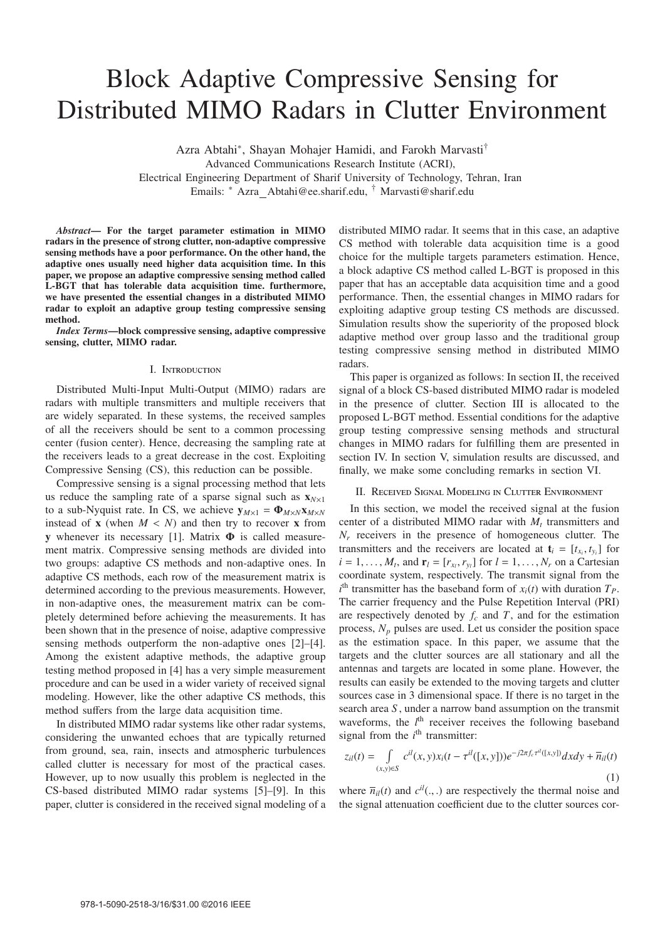# Block Adaptive Compressive Sensing for Distributed MIMO Radars in Clutter Environment

Azra Abtahi∗, Shayan Mohajer Hamidi, and Farokh Marvasti†

Advanced Communications Research Institute (ACRI),

Electrical Engineering Department of Sharif University of Technology, Tehran, Iran

Emails: ∗ Azra Abtahi@ee.sharif.edu, † Marvasti@sharif.edu

*Abstract*— For the target parameter estimation in MIMO radars in the presence of strong clutter, non-adaptive compressive sensing methods have a poor performance. On the other hand, the adaptive ones usually need higher data acquisition time. In this paper, we propose an adaptive compressive sensing method called L-BGT that has tolerable data acquisition time. furthermore, we have presented the essential changes in a distributed MIMO radar to exploit an adaptive group testing compressive sensing method.

*Index Terms*—block compressive sensing, adaptive compressive sensing, clutter, MIMO radar.

## I. Introduction

Distributed Multi-Input Multi-Output (MIMO) radars are radars with multiple transmitters and multiple receivers that are widely separated. In these systems, the received samples of all the receivers should be sent to a common processing center (fusion center). Hence, decreasing the sampling rate at the receivers leads to a great decrease in the cost. Exploiting Compressive Sensing (CS), this reduction can be possible.

Compressive sensing is a signal processing method that lets us reduce the sampling rate of a sparse signal such as  $x_{N\times1}$ to a sub-Nyquist rate. In CS, we achieve  $y_{M\times1} = \Phi_{M\times N}x_{M\times N}$ instead of **x** (when  $M < N$ ) and then try to recover **x** from y whenever its necessary [1]. Matrix Φ is called measurement matrix. Compressive sensing methods are divided into two groups: adaptive CS methods and non-adaptive ones. In adaptive CS methods, each row of the measurement matrix is determined according to the previous measurements. However, in non-adaptive ones, the measurement matrix can be completely determined before achieving the measurements. It has been shown that in the presence of noise, adaptive compressive sensing methods outperform the non-adaptive ones [2]–[4]. Among the existent adaptive methods, the adaptive group testing method proposed in [4] has a very simple measurement procedure and can be used in a wider variety of received signal modeling. However, like the other adaptive CS methods, this method suffers from the large data acquisition time.

In distributed MIMO radar systems like other radar systems, considering the unwanted echoes that are typically returned from ground, sea, rain, insects and atmospheric turbulences called clutter is necessary for most of the practical cases. However, up to now usually this problem is neglected in the CS-based distributed MIMO radar systems [5]–[9]. In this paper, clutter is considered in the received signal modeling of a distributed MIMO radar. It seems that in this case, an adaptive CS method with tolerable data acquisition time is a good choice for the multiple targets parameters estimation. Hence, a block adaptive CS method called L-BGT is proposed in this paper that has an acceptable data acquisition time and a good performance. Then, the essential changes in MIMO radars for exploiting adaptive group testing CS methods are discussed. Simulation results show the superiority of the proposed block adaptive method over group lasso and the traditional group testing compressive sensing method in distributed MIMO radars.

This paper is organized as follows: In section II, the received signal of a block CS-based distributed MIMO radar is modeled in the presence of clutter. Section III is allocated to the proposed L-BGT method. Essential conditions for the adaptive group testing compressive sensing methods and structural changes in MIMO radars for fulfilling them are presented in section IV. In section V, simulation results are discussed, and finally, we make some concluding remarks in section VI.

## II. Received Signal Modeling in Clutter Environment

In this section, we model the received signal at the fusion center of a distributed MIMO radar with  $M_t$  transmitters and *Nr* receivers in the presence of homogeneous clutter. The transmitters and the receivers are located at  $\mathbf{t}_i = [t_{x_i}, t_{y_i}]$  for  $i = 1, \ldots, M_t$ , and  $\mathbf{r}_l = [r_{x_l}, r_{y_l}]$  for  $l = 1, \ldots, N_r$  on a Cartesian coordinate system, respectively. The transmit signal from the  $i$ <sup>th</sup> transmitter has the baseband form of  $x_i(t)$  with duration  $T_P$ . The carrier frequency and the Pulse Repetition Interval (PRI) are respectively denoted by  $f_c$  and  $T$ , and for the estimation process,  $N_p$  pulses are used. Let us consider the position space as the estimation space. In this paper, we assume that the targets and the clutter sources are all stationary and all the antennas and targets are located in some plane. However, the results can easily be extended to the moving targets and clutter sources case in 3 dimensional space. If there is no target in the search area *S* , under a narrow band assumption on the transmit waveforms, the *l*<sup>th</sup> receiver receives the following baseband signal from the  $i<sup>th</sup>$  transmitter:

$$
z_{il}(t) = \int_{(x,y)\in S} c^{il}(x,y)x_i(t-\tau^{il}([x,y]))e^{-j2\pi f_c\tau^{il}([x,y])}dxdy + \overline{n}_{il}(t)
$$
\n(1)

where  $\overline{n}_{il}(t)$  and  $c^{il}(.,.)$  are respectively the thermal noise and the signal attenuation coefficient due to the clutter sources cor-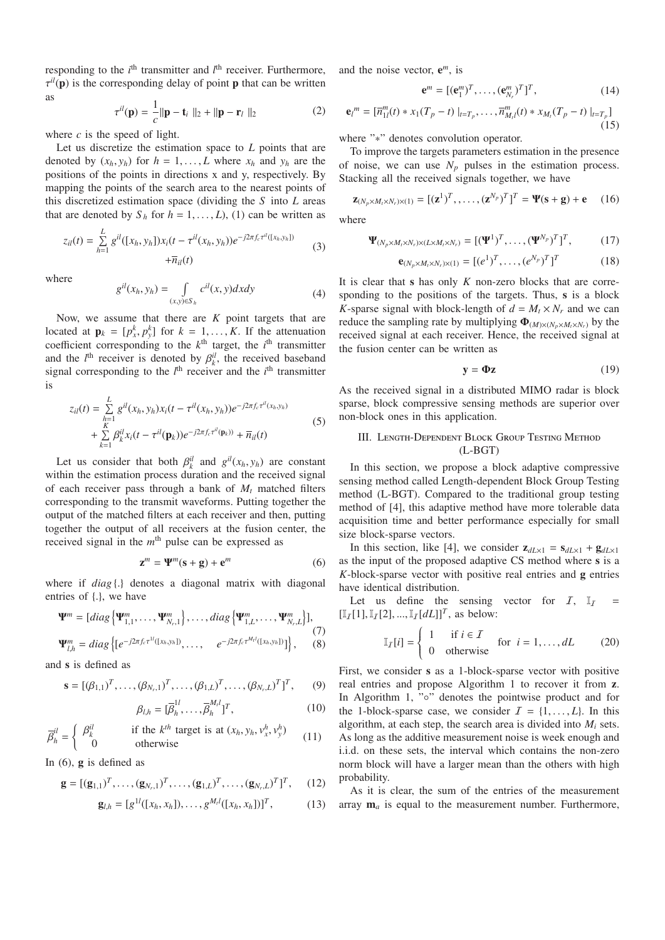responding to the  $i<sup>th</sup>$  transmitter and  $l<sup>th</sup>$  receiver. Furthermore,  $\tau^{il}(\mathbf{p})$  is the corresponding delay of point **p** that can be written as

$$
\tau^{il}(\mathbf{p}) = \frac{1}{c} ||\mathbf{p} - \mathbf{t}_i||_2 + ||\mathbf{p} - \mathbf{r}_l||_2 \tag{2}
$$

where  $c$  is the speed of light.

Let us discretize the estimation space to *L* points that are denoted by  $(x_h, y_h)$  for  $h = 1, \ldots, L$  where  $x_h$  and  $y_h$  are the positions of the points in directions x and y, respectively. By mapping the points of the search area to the nearest points of this discretized estimation space (dividing the *S* into *L* areas that are denoted by  $S_h$  for  $h = 1, \ldots, L$ , (1) can be written as

$$
z_{il}(t) = \sum_{h=1}^{L} g^{il}([x_h, y_h]) x_i(t - \tau^{il}(x_h, y_h)) e^{-j2\pi f_c \tau^{il}([x_h, y_h])} + \overline{n}_{il}(t)
$$
\n(3)

where

$$
g^{il}(x_h, y_h) = \int\limits_{(x,y)\in S_h} c^{il}(x, y) dx dy
$$
 (4)

Now, we assume that there are *K* point targets that are located at  $\mathbf{p}_k = [p_x^k, p_y^k]$  for  $k = 1, ..., K$ . If the attenuation coefficient corresponding to the  $k^{\text{th}}$  target, the  $i^{\text{th}}$  transmitter and the  $l^{\text{th}}$  receiver is denoted by  $\beta_k^{il}$ , the received baseband signal corresponding to the  $l<sup>th</sup>$  receiver and the  $i<sup>th</sup>$  transmitter is

$$
z_{il}(t) = \sum_{h=1}^{L} g^{il}(x_h, y_h) x_i(t - \tau^{il}(x_h, y_h)) e^{-j2\pi f_c \tau^{il}(x_h, y_h)}
$$
  
+ 
$$
\sum_{k=1}^{K} \beta_k^{il} x_i(t - \tau^{il}(\mathbf{p}_k)) e^{-j2\pi f_c \tau^{il}(\mathbf{p}_k))} + \overline{n}_{il}(t)
$$
 (5)

Let us consider that both  $\beta_k^{il}$  and  $g^{il}(x_h, y_h)$  are constant within the estimation process duration and the received signal of each receiver pass through a bank of  $M_t$  matched filters corresponding to the transmit waveforms. Putting together the output of the matched filters at each receiver and then, putting together the output of all receivers at the fusion center, the received signal in the  $m<sup>th</sup>$  pulse can be expressed as

$$
\mathbf{z}^m = \mathbf{\Psi}^m(\mathbf{s} + \mathbf{g}) + \mathbf{e}^m \tag{6}
$$

where if *diag* {.} denotes a diagonal matrix with diagonal entries of {.}, we have

$$
\mathbf{\Psi}^m = [diag\left\{\mathbf{\Psi}^m_{1,1},\ldots,\mathbf{\Psi}^m_{N_r,1}\right\},\ldots,diag\left\{\mathbf{\Psi}^m_{1,L},\ldots,\mathbf{\Psi}^m_{N_r,L}\right\}],
$$
\n(7)

$$
\Psi_{l,h}^m = diag\left\{ [e^{-j2\pi f_c \tau^{1l}([x_h,y_h])},\ldots, e^{-j2\pi f_c \tau^{M_ll}([x_h,y_h])}] \right\},\qquad(8)
$$

and s is defined as

$$
\mathbf{s} = [(\beta_{1,1})^T, \dots, (\beta_{N_r,1})^T, \dots, (\beta_{1,L})^T, \dots, (\beta_{N_r,L})^T]^T, \qquad (9)
$$

$$
\beta_{l,h} = [\overline{\beta}_h^{1l}, \dots, \overline{\beta}_h^{M_l}^l]^T, \qquad (10)
$$

$$
\overline{\beta}_h^{il} = \begin{cases} \beta_k^{il} & \text{if the } k^{th} \text{ target is at } (x_h, y_h, v_x^h, v_y^h) \\ 0 & \text{otherwise} \end{cases}
$$
 (11)

In  $(6)$ , **g** is defined as

$$
\mathbf{g} = [(\mathbf{g}_{1,1})^T, \dots, (\mathbf{g}_{N_r,1})^T, \dots, (\mathbf{g}_{1,L})^T, \dots, (\mathbf{g}_{N_r,L})^T]^T, (12)
$$

$$
\mathbf{g}_{l,h} = [g^{1l}([x_h, x_h]), \dots, g^{M_l l}([x_h, x_h])]^T, \tag{13}
$$

and the noise vector, e*<sup>m</sup>*, is

$$
\mathbf{e}^m = [(\mathbf{e}_1^m)^T, \dots, (\mathbf{e}_{N_r}^m)^T]^T, \tag{14}
$$

$$
\mathbf{e}_{l}^{m} = [\overline{n}_{1l}^{m}(t) * x_{1}(T_{p} - t) \mid_{t=T_{p}}, \dots, \overline{n}_{M_{l}}^{m}(t) * x_{M_{l}}(T_{p} - t) \mid_{t=T_{p}}]
$$
\n(15)

where "∗" denotes convolution operator.

To improve the targets parameters estimation in the presence of noise, we can use  $N_p$  pulses in the estimation process. Stacking all the received signals together, we have

$$
\mathbf{Z}_{(N_p \times M_t \times N_r) \times (1)} = [(\mathbf{z}^1)^T, \dots, (\mathbf{z}^{N_p})^T]^T = \Psi(\mathbf{s} + \mathbf{g}) + \mathbf{e} \quad (16)
$$

where

$$
\mathbf{\Psi}_{(N_p \times M_t \times N_r) \times (L \times M_t \times N_r)} = [(\mathbf{\Psi}^1)^T, \dots, (\mathbf{\Psi}^{N_p})^T]^T, \tag{17}
$$

$$
\mathbf{e}_{(N_p \times M_r \times N_r) \times (1)} = [(e^1)^T, \dots, (e^{N_p})^T]^T
$$
 (18)

It is clear that s has only *K* non-zero blocks that are corresponding to the positions of the targets. Thus, s is a block *K*-sparse signal with block-length of  $d = M_t \times N_r$  and we can reduce the sampling rate by multiplying  $\Phi_{(M)\times(N_p\times M_r\times N_r)}$  by the received signal at each receiver. Hence, the received signal at the fusion center can be written as

$$
y = \Phi z \tag{19}
$$

As the received signal in a distributed MIMO radar is block sparse, block compressive sensing methods are superior over non-block ones in this application.

# III. Length-Dependent Block Group Testing Method (L-BGT)

In this section, we propose a block adaptive compressive sensing method called Length-dependent Block Group Testing method (L-BGT). Compared to the traditional group testing method of [4], this adaptive method have more tolerable data acquisition time and better performance especially for small size block-sparse vectors.

In this section, like [4], we consider  $\mathbf{z}_{dL\times 1} = \mathbf{s}_{dL\times 1} + \mathbf{g}_{dL\times 1}$ as the input of the proposed adaptive CS method where s is a *K*-block-sparse vector with positive real entries and g entries have identical distribution.

Let us define the sensing vector for  $I$ ,  $\mathbb{I}_I$  $[\mathbb{I}_I[1], \mathbb{I}_I[2], ..., \mathbb{I}_I[dL]]^T$ , as below:

$$
\mathbb{I}_I[i] = \begin{cases} 1 & \text{if } i \in \mathcal{I} \\ 0 & \text{otherwise} \end{cases} \quad \text{for } i = 1, \dots, dL \tag{20}
$$

First, we consider s as a 1-block-sparse vector with positive real entries and propose Algorithm 1 to recover it from z. In Algorithm 1, "◦" denotes the pointwise product and for the 1-block-sparse case, we consider  $\mathcal{I} = \{1, \ldots, L\}$ . In this algorithm, at each step, the search area is divided into  $M_i$  sets. As long as the additive measurement noise is week enough and i.i.d. on these sets, the interval which contains the non-zero norm block will have a larger mean than the others with high probability.

As it is clear, the sum of the entries of the measurement array  $\mathbf{m}_a$  is equal to the measurement number. Furthermore,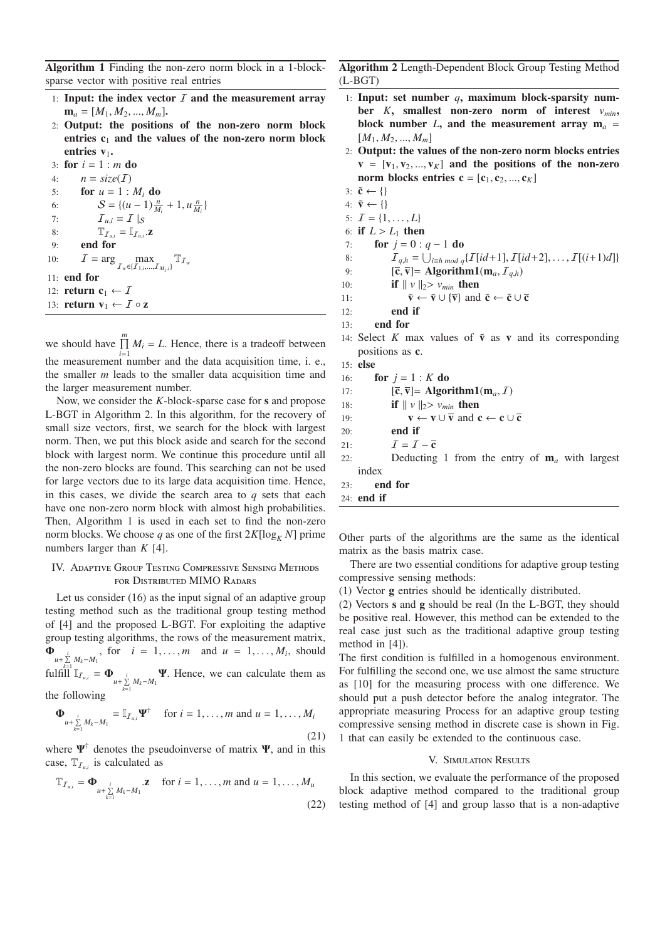Algorithm 1 Finding the non-zero norm block in a 1-blocksparse vector with positive real entries

- 1: Input: the index vector  $I$  and the measurement array  $$
- 2: Output: the positions of the non-zero norm block entries  $c_1$  and the values of the non-zero norm block entries  $v_1$ .

3: for  $i = 1$  : *m* do 4:  $n = size(I)$ <br>5: **for**  $u = 1$ : for  $u = 1$  :  $M_i$  do 6:  $S = \{(u-1)\frac{n}{M_i} + 1, u\frac{n}{M_i}\}$ 7:  $I_{u,i} = I |_{S}$ <br>8:  $T_{I} = I_{I}$ 8:  $\mathbb{T}_{I_{u,i}} = \mathbb{I}_{I_{u,i}}.$ **Z** 9: end for 10:  $I = \arg \max_{T_w \in \{T_{1,i},...,T_{M_i,i}\}} \mathbb{T}_{T_w}$ 11: end for 12: **return**  $c_1 \leftarrow I$ 13: **return**  $\mathbf{v}_1 \leftarrow \mathcal{I} \circ \mathbf{z}$ 

we should have  $\prod_{i=1}^{m} M_i = L$ . Hence, there is a tradeoff between the measurement number and the data acquisition time, i. e., the smaller *m* leads to the smaller data acquisition time and the larger measurement number.

Now, we consider the *K*-block-sparse case for s and propose L-BGT in Algorithm 2. In this algorithm, for the recovery of small size vectors, first, we search for the block with largest norm. Then, we put this block aside and search for the second block with largest norm. We continue this procedure until all the non-zero blocks are found. This searching can not be used for large vectors due to its large data acquisition time. Hence, in this cases, we divide the search area to  $q$  sets that each have one non-zero norm block with almost high probabilities. Then, Algorithm 1 is used in each set to find the non-zero norm blocks. We choose *q* as one of the first  $2K[\log_K N]$  prime numbers larger than *K* [4].

# IV. Adaptive Group Testing Compressive Sensing Methods for Distributed MIMO Radars

Let us consider (16) as the input signal of an adaptive group testing method such as the traditional group testing method of [4] and the proposed L-BGT. For exploiting the adaptive group testing algorithms, the rows of the measurement matrix,  $\Phi_{u+\sum_{i=1}^{i} M_k - M_1}$ , for  $i = 1, ..., m$  and  $u = 1, ..., M_i$ , should  $\int \text{full} \lim_{k=1}^{k=1} \mathbb{I}_{I_{u,i}} = \Phi_{u+\sum_{k=1}^{i} M_k - M_1}$  *W*. Hence, we can calculate them as

the following

$$
\mathbf{\Phi}_{u+\sum\limits_{k=1}^{i}M_k-M_1}=\mathbb{I}_{T_{u,i}}\mathbf{\Psi}^{\dagger}\quad\text{ for }i=1,\ldots,m\text{ and }u=1,\ldots,M_i
$$
\n(21)

where  $\Psi^{\dagger}$  denotes the pseudoinverse of matrix  $\Psi$ , and in this case,  $T_{I_{ui}}$  is calculated as

$$
\mathbb{T}_{I_{u,i}} = \mathbf{\Phi}_{u + \sum_{k=1}^{i} M_k - M_1} \mathbf{z} \quad \text{for } i = 1, ..., m \text{ and } u = 1, ..., M_u
$$
\n(22)

Algorithm 2 Length-Dependent Block Group Testing Method (L-BGT)

- 1: Input: set number *q*, maximum block-sparsity number *K*, smallest non-zero norm of interest *vmin*, block number *L*, and the measurement array  $m_a$  =  $[M_1, M_2, ..., M_m]$
- 2: Output: the values of the non-zero norm blocks entries  $v = [v_1, v_2, ..., v_K]$  and the positions of the non-zero norm blocks entries  $c = [c_1, c_2, ..., c_K]$
- 3:  $\tilde{\mathbf{c}} \leftarrow \{\}$
- 4:  $\tilde{\mathbf{v}} \leftarrow \{\}$
- 5:  $\mathcal{I} = \{1, \ldots, L\}$
- 6: if  $L > L_1$  then
- 7: **for**  $j = 0 : q 1$  **do**<br>8:  $I_{ab} = | \cdot |_{i=b \mod q}$
- 8:  $\mathcal{I}_{q,h} = \bigcup_{i \equiv h \bmod q} \{ \mathcal{I}[id+1], \mathcal{I}[id+2], \dots, \mathcal{I}[(i+1)d] \}$
- 9:  $[\bar{\mathbf{c}}, \bar{\mathbf{v}}] = \text{Algorithm1}(\mathbf{m}_a, \mathcal{I}_{q,h})$ <br>10: **if**  $||v||_2 > v_{min}$  **then**
- 

10: **if** 
$$
||v||_2 > v_{min}
$$
 **then**  
11:  $\tilde{v} \leftarrow \tilde{v} \cup {\overline{v}} \text{ and } \tilde{c} \leftarrow \tilde{c} \cup \overline{c}$ 

- 12: end if
- 13: end for
- 14: Select *K* max values of  $\tilde{v}$  as v and its corresponding positions as c.

15: else

- 16: **for**  $j = 1 : K$  **do**
- 17:  $[\overline{\mathbf{c}}, \overline{\mathbf{v}}] = \mathbf{Algorithm1}(\mathbf{m}_a, \mathcal{I})$
- 18: **if**  $\|v\|_2 > v_{min}$  **then**<br>19: **v**  $\leftarrow$  **v**  $\cup$  **v** and **c**

19: 
$$
\mathbf{v} \leftarrow \mathbf{v} \cup \overline{\mathbf{v}} \text{ and } \mathbf{c} \leftarrow \mathbf{c} \cup \overline{\mathbf{c}}
$$

- 20: end if
- 21:  $I = I \overline{c}$ <br>
22: Deducting

Deducting 1 from the entry of  $m_a$  with largest index

```
23: end for
```
24: end if

Other parts of the algorithms are the same as the identical matrix as the basis matrix case.

There are two essential conditions for adaptive group testing compressive sensing methods:

(1) Vector g entries should be identically distributed.

(2) Vectors s and g should be real (In the L-BGT, they should be positive real. However, this method can be extended to the real case just such as the traditional adaptive group testing method in [4]).

The first condition is fulfilled in a homogenous environment. For fulfilling the second one, we use almost the same structure as [10] for the measuring process with one difference. We should put a push detector before the analog integrator. The appropriate measuring Process for an adaptive group testing compressive sensing method in discrete case is shown in Fig. 1 that can easily be extended to the continuous case.

# V. Simulation Results

In this section, we evaluate the performance of the proposed block adaptive method compared to the traditional group testing method of [4] and group lasso that is a non-adaptive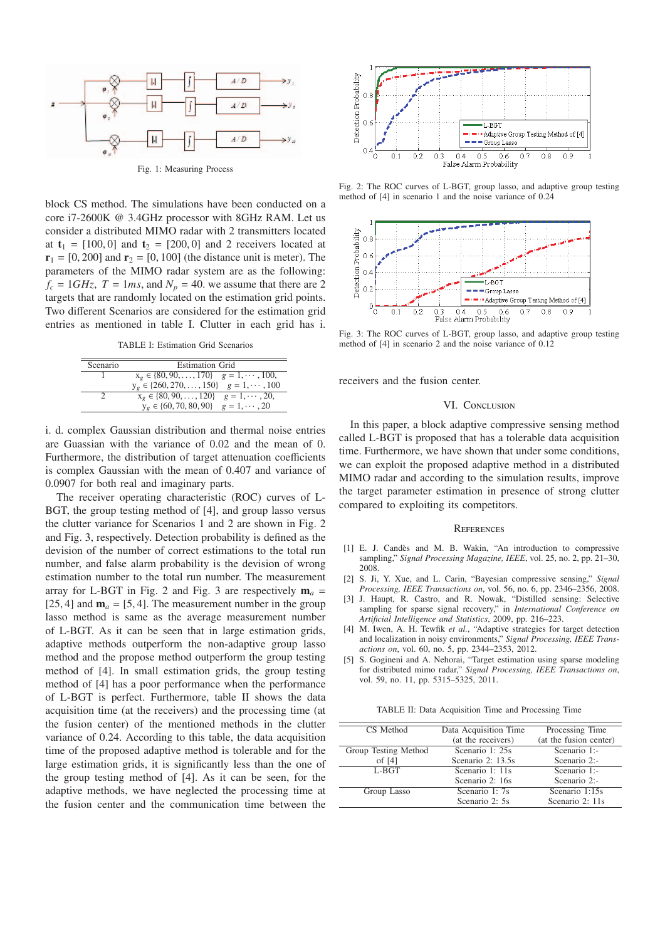

Fig. 1: Measuring Process

block CS method. The simulations have been conducted on a core i7-2600K @ 3.4GHz processor with 8GHz RAM. Let us consider a distributed MIMO radar with 2 transmitters located at  $t_1 = [100, 0]$  and  $t_2 = [200, 0]$  and 2 receivers located at  $\mathbf{r}_1 = [0, 200]$  and  $\mathbf{r}_2 = [0, 100]$  (the distance unit is meter). The parameters of the MIMO radar system are as the following:  $f_c = 1 \, Hz$ ,  $T = 1 \, ms$ , and  $N_p = 40$ . we assume that there are 2 targets that are randomly located on the estimation grid points. Two different Scenarios are considered for the estimation grid entries as mentioned in table I. Clutter in each grid has i.

TABLE I: Estimation Grid Scenarios

| Scenario | <b>Estimation Grid</b>                                           |  |  |
|----------|------------------------------------------------------------------|--|--|
|          | $x_{\varphi} \in \{80, 90, \ldots, 170\}$ $g = 1, \cdots, 100,$  |  |  |
|          | $y_g \in \{260, 270, \ldots, 150\}$ $g = 1, \cdots, 100$         |  |  |
|          | $x_g \in \{80, 90, \ldots, 120\}$ $g = \overline{1, \cdots, 20}$ |  |  |
|          | $y_e \in \{60, 70, 80, 90\}$ $g = 1, \cdots, 20$                 |  |  |

i. d. complex Gaussian distribution and thermal noise entries are Guassian with the variance of 0.02 and the mean of 0. Furthermore, the distribution of target attenuation coefficients is complex Gaussian with the mean of 0.407 and variance of 0.0907 for both real and imaginary parts.

The receiver operating characteristic (ROC) curves of L-BGT, the group testing method of [4], and group lasso versus the clutter variance for Scenarios 1 and 2 are shown in Fig. 2 and Fig. 3, respectively. Detection probability is defined as the devision of the number of correct estimations to the total run number, and false alarm probability is the devision of wrong estimation number to the total run number. The measurement array for L-BGT in Fig. 2 and Fig. 3 are respectively  $m_a$  = [25, 4] and  $\mathbf{m}_a = [5, 4]$ . The measurement number in the group lasso method is same as the average measurement number of L-BGT. As it can be seen that in large estimation grids, adaptive methods outperform the non-adaptive group lasso method and the propose method outperform the group testing method of [4]. In small estimation grids, the group testing method of [4] has a poor performance when the performance of L-BGT is perfect. Furthermore, table II shows the data acquisition time (at the receivers) and the processing time (at the fusion center) of the mentioned methods in the clutter variance of 0.24. According to this table, the data acquisition time of the proposed adaptive method is tolerable and for the large estimation grids, it is significantly less than the one of the group testing method of [4]. As it can be seen, for the adaptive methods, we have neglected the processing time at the fusion center and the communication time between the



Fig. 2: The ROC curves of L-BGT, group lasso, and adaptive group testing method of [4] in scenario 1 and the noise variance of 0.24



Fig. 3: The ROC curves of L-BGT, group lasso, and adaptive group testing method of [4] in scenario 2 and the noise variance of 0.12

receivers and the fusion center.

#### VI. CONCLUSION

In this paper, a block adaptive compressive sensing method called L-BGT is proposed that has a tolerable data acquisition time. Furthermore, we have shown that under some conditions, we can exploit the proposed adaptive method in a distributed MIMO radar and according to the simulation results, improve the target parameter estimation in presence of strong clutter compared to exploiting its competitors.

#### **REFERENCES**

- [1] E. J. Candès and M. B. Wakin, "An introduction to compressive sampling," *Signal Processing Magazine, IEEE*, vol. 25, no. 2, pp. 21–30, 2008.
- [2] S. Ji, Y. Xue, and L. Carin, "Bayesian compressive sensing," *Signal Processing, IEEE Transactions on*, vol. 56, no. 6, pp. 2346–2356, 2008.
- [3] J. Haupt, R. Castro, and R. Nowak, "Distilled sensing: Selective sampling for sparse signal recovery," in *International Conference on Artificial Intelligence and Statistics*, 2009, pp. 216–223.
- [4] M. Iwen, A. H. Tewfik *et al.*, "Adaptive strategies for target detection and localization in noisy environments," *Signal Processing, IEEE Transactions on*, vol. 60, no. 5, pp. 2344–2353, 2012.
- [5] S. Gogineni and A. Nehorai, "Target estimation using sparse modeling for distributed mimo radar," *Signal Processing, IEEE Transactions on*, vol. 59, no. 11, pp. 5315–5325, 2011.

TABLE II: Data Acquisition Time and Processing Time

| CS Method            | Data Acquisition Time | Processing Time        |
|----------------------|-----------------------|------------------------|
|                      | (at the receivers)    | (at the fusion center) |
| Group Testing Method | Scenario 1: $25s$     | Scenario 1:-           |
| of $[4]$             | Scenario 2: 13.5s     | Scenario 2:-           |
| L-BGT                | Scenario 1: 11s       | Scenario 1:-           |
|                      | Scenario 2: 16s       | Scenario 2:-           |
| Group Lasso          | Scenario 1: 7s        | Scenario 1:15s         |
|                      | Scenario 2: 5s        | Scenario 2: 11s        |